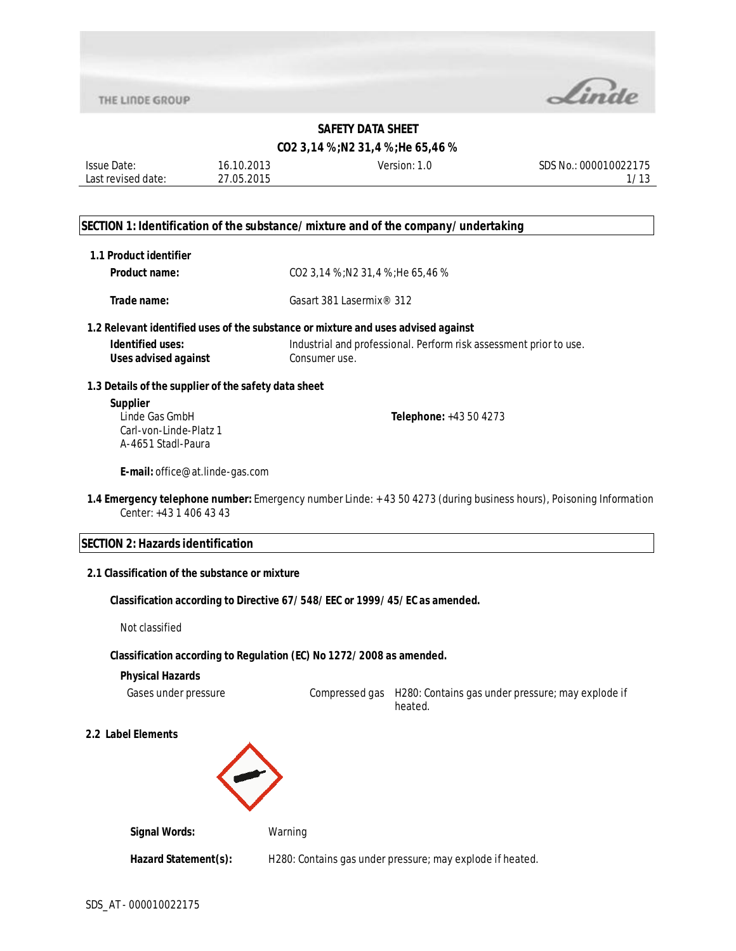

#### **CO2 3,14 %;N2 31,4 %;He 65,46 %**

| <b>Issue Date:</b> | 16.10.2013 | Version: | SDS No.: 000010022175 |
|--------------------|------------|----------|-----------------------|
| Last revised date: | 27.05.2015 |          | 112                   |
|                    |            |          |                       |

#### **SECTION 1: Identification of the substance/mixture and of the company/undertaking**

| 1.1 Product identifier |  |
|------------------------|--|
|------------------------|--|

**Product name:** CO2 3,14 %;N2 31,4 %;He 65,46 %

**Trade name:** Gasart 381 Lasermix® 312

#### **1.2 Relevant identified uses of the substance or mixture and uses advised against**

**Identified uses:** Industrial and professional. Perform risk assessment prior to use. **Uses advised against Consumer use.** 

#### **1.3 Details of the supplier of the safety data sheet**

**Supplier** Linde Gas GmbH Carl-von-Linde-Platz 1 A-4651 Stadl-Paura

**Telephone:** +43 50 4273

**E-mail:** office@at.linde-gas.com

**1.4 Emergency telephone number:** Emergency number Linde: + 43 50 4273 (during business hours), Poisoning Information Center: +43 1 406 43 43

#### **SECTION 2: Hazards identification**

#### **2.1 Classification of the substance or mixture**

#### **Classification according to Directive 67/548/EEC or 1999/45/EC as amended.**

Not classified

#### **Classification according to Regulation (EC) No 1272/2008 as amended.**

#### **Physical Hazards**

Gases under pressure Compressed gas H280: Contains gas under pressure; may explode if heated.

**2.2 Label Elements**



| <b>Signal Words:</b> | Warning                                                   |
|----------------------|-----------------------------------------------------------|
| Hazard Statement(s): | H280: Contains gas under pressure; may explode if heated. |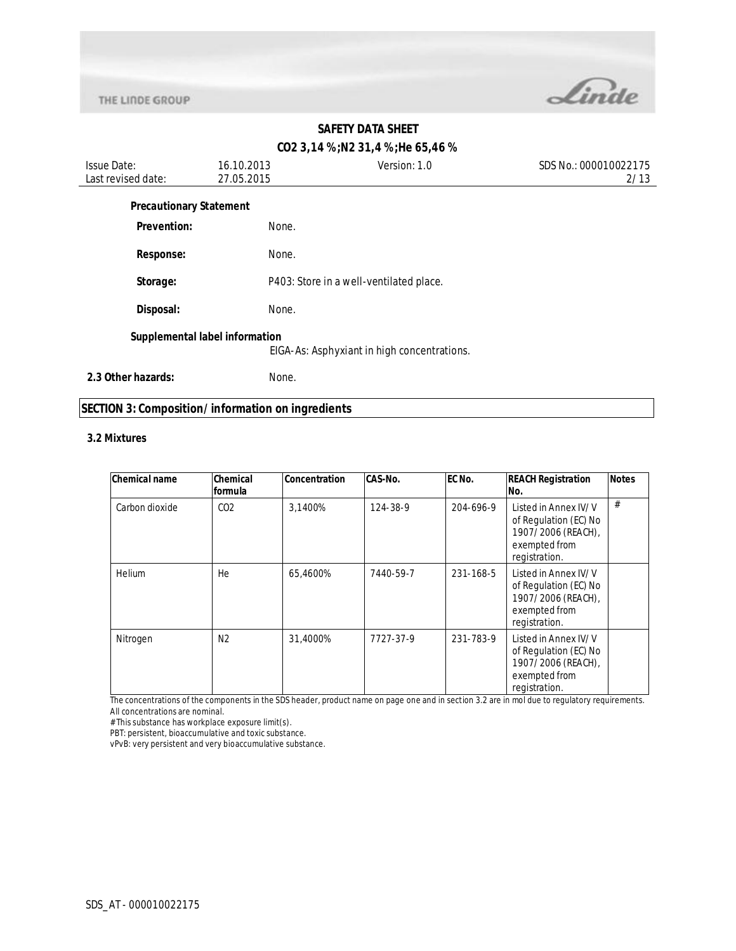

## **CO2 3,14 %;N2 31,4 %;He 65,46 %**

| <b>Issue Date:</b><br>Last revised date: | 16.10.2013<br>27.05.2015       | Version: 1.0                                | SDS No.: 000010022175<br>2/13 |
|------------------------------------------|--------------------------------|---------------------------------------------|-------------------------------|
| <b>Precautionary Statement</b>           |                                |                                             |                               |
| Prevention:                              | None.                          |                                             |                               |
| <b>Response:</b>                         | None.                          |                                             |                               |
| Storage:                                 |                                | P403: Store in a well-ventilated place.     |                               |
| Disposal:                                | None.                          |                                             |                               |
|                                          | Supplemental label information | EIGA-As: Asphyxiant in high concentrations. |                               |
| 2.3 Other hazards:                       | None.                          |                                             |                               |

## **SECTION 3: Composition/information on ingredients**

#### **3.2 Mixtures**

| <b>Chemical name</b> | Chemical        | <b>Concentration</b> | CAS-No.   | EC No.    | <b>REACH Registration</b>                                                                             | <b>Notes</b> |
|----------------------|-----------------|----------------------|-----------|-----------|-------------------------------------------------------------------------------------------------------|--------------|
|                      | formula         |                      |           |           | No.                                                                                                   |              |
| Carbon dioxide       | CO <sub>2</sub> | 3,1400%              | 124-38-9  | 204-696-9 | Listed in Annex IV/V<br>of Regulation (EC) No<br>1907/2006 (REACH),<br>exempted from<br>registration. | #            |
| <b>Helium</b>        | He              | 65.4600%             | 7440-59-7 | 231-168-5 | Listed in Annex IV/V<br>of Regulation (EC) No<br>1907/2006 (REACH),<br>exempted from<br>registration. |              |
| Nitrogen             | N <sub>2</sub>  | 31,4000%             | 7727-37-9 | 231-783-9 | Listed in Annex IV/V<br>of Regulation (EC) No<br>1907/2006 (REACH),<br>exempted from<br>registration. |              |

The concentrations of the components in the SDS header, product name on page one and in section 3.2 are in mol due to regulatory requirements. All concentrations are nominal.

# This substance has workplace exposure limit(s).

PBT: persistent, bioaccumulative and toxic substance.

vPvB: very persistent and very bioaccumulative substance.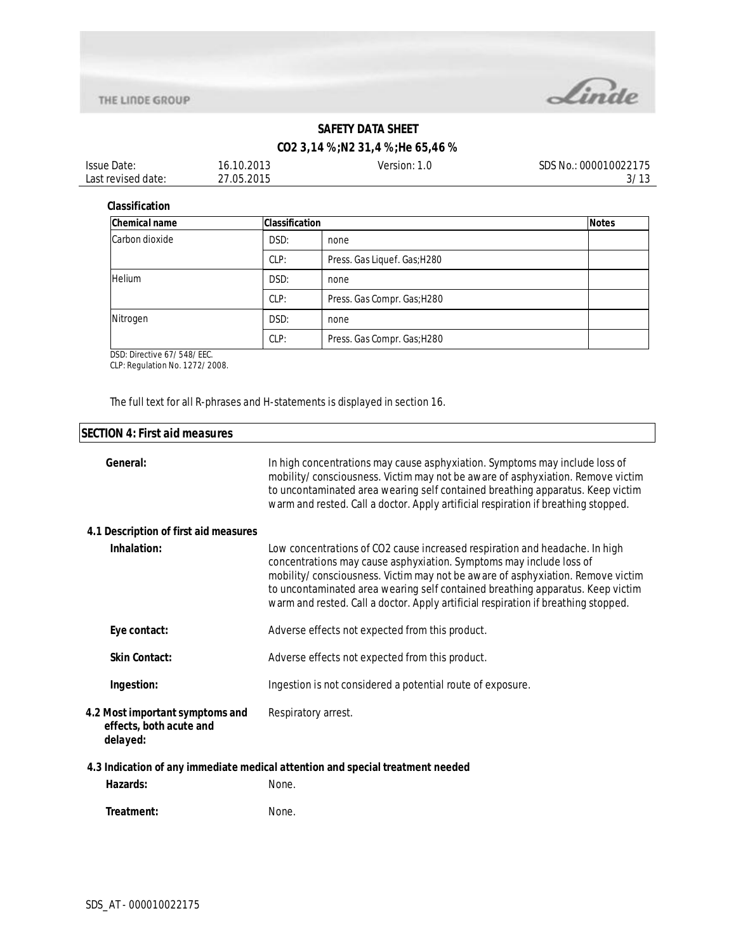



## **CO2 3,14 %;N2 31,4 %;He 65,46 %**

| <b>Issue Date:</b> | 16.10.2013 | Version: 1.0 | SDS No.: 000010022175 |
|--------------------|------------|--------------|-----------------------|
| Last revised date: | 27.05.2015 |              | 3/13                  |

#### **Classification**

| <b>Chemical name</b> | <b>Classification</b> |                              | <b>Notes</b> |
|----------------------|-----------------------|------------------------------|--------------|
| Carbon dioxide       | DSD:                  | none                         |              |
|                      | CLP:                  | Press. Gas Liquef. Gas; H280 |              |
| <b>Helium</b>        | DSD:                  | none                         |              |
|                      | CLP:                  | Press. Gas Compr. Gas; H280  |              |
| Nitrogen             | DSD:                  | none                         |              |
|                      | CLP:                  | Press. Gas Compr. Gas; H280  |              |

DSD: Directive 67/548/EEC.

CLP: Regulation No. 1272/2008.

The full text for all R-phrases and H-statements is displayed in section 16.

| <b>SECTION 4: First aid measures</b>                                   |                                                                                                                                                                                                                                                                                                                                                                                                              |
|------------------------------------------------------------------------|--------------------------------------------------------------------------------------------------------------------------------------------------------------------------------------------------------------------------------------------------------------------------------------------------------------------------------------------------------------------------------------------------------------|
| General:                                                               | In high concentrations may cause asphyxiation. Symptoms may include loss of<br>mobility/consciousness. Victim may not be aware of asphyxiation. Remove victim<br>to uncontaminated area wearing self contained breathing apparatus. Keep victim<br>warm and rested. Call a doctor. Apply artificial respiration if breathing stopped.                                                                        |
| 4.1 Description of first aid measures                                  |                                                                                                                                                                                                                                                                                                                                                                                                              |
| Inhalation:                                                            | Low concentrations of CO2 cause increased respiration and headache. In high<br>concentrations may cause asphyxiation. Symptoms may include loss of<br>mobility/consciousness. Victim may not be aware of asphyxiation. Remove victim<br>to uncontaminated area wearing self contained breathing apparatus. Keep victim<br>warm and rested. Call a doctor. Apply artificial respiration if breathing stopped. |
| Eye contact:                                                           | Adverse effects not expected from this product.                                                                                                                                                                                                                                                                                                                                                              |
| <b>Skin Contact:</b>                                                   | Adverse effects not expected from this product.                                                                                                                                                                                                                                                                                                                                                              |
| Ingestion:                                                             | Ingestion is not considered a potential route of exposure.                                                                                                                                                                                                                                                                                                                                                   |
| 4.2 Most important symptoms and<br>effects, both acute and<br>delayed: | Respiratory arrest.                                                                                                                                                                                                                                                                                                                                                                                          |
|                                                                        | 4.3 Indication of any immediate medical attention and special treatment needed                                                                                                                                                                                                                                                                                                                               |
| Hazards:                                                               | None.                                                                                                                                                                                                                                                                                                                                                                                                        |
| Treatment:                                                             | None.                                                                                                                                                                                                                                                                                                                                                                                                        |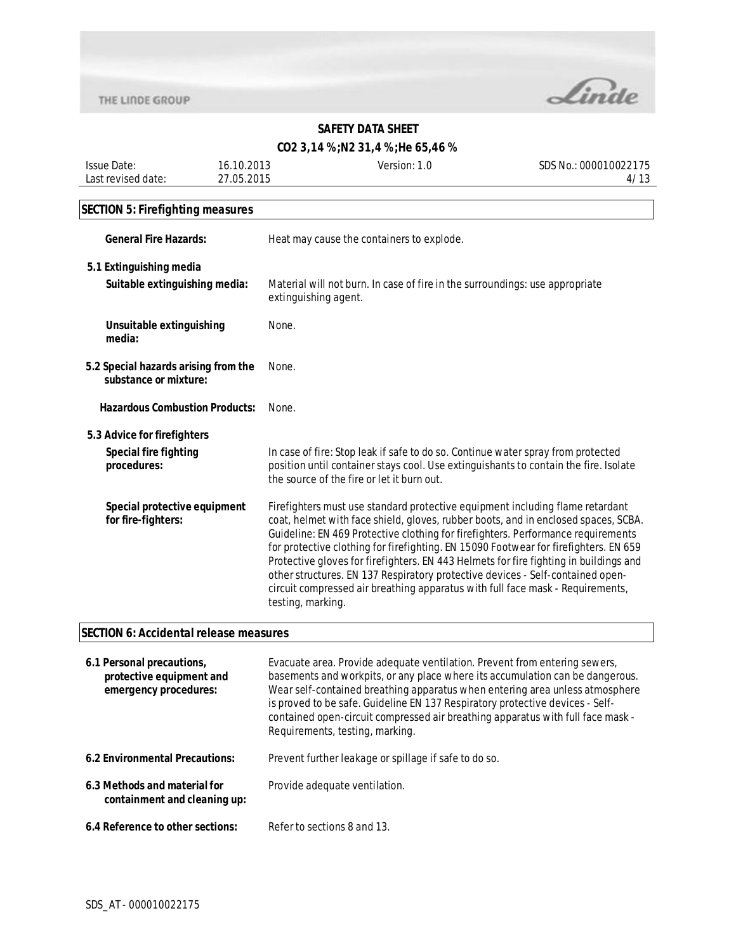

## **CO2 3,14 %;N2 31,4 %;He 65,46 %**

| <b>Issue Date:</b> | 16.10.2013 | Version: 1.0 | SDS No.: 000010022175 |
|--------------------|------------|--------------|-----------------------|
| Last revised date: | 27.05.2015 |              |                       |
|                    |            |              |                       |

# **SECTION 5: Firefighting measures**

| <b>General Fire Hazards:</b>                                  | Heat may cause the containers to explode.                                                                                                                                                                                                                                                                                                                                                                                                                                                                                                                                                                                         |  |
|---------------------------------------------------------------|-----------------------------------------------------------------------------------------------------------------------------------------------------------------------------------------------------------------------------------------------------------------------------------------------------------------------------------------------------------------------------------------------------------------------------------------------------------------------------------------------------------------------------------------------------------------------------------------------------------------------------------|--|
| 5.1 Extinguishing media<br>Suitable extinguishing media:      | Material will not burn. In case of fire in the surroundings: use appropriate<br>extinguishing agent.                                                                                                                                                                                                                                                                                                                                                                                                                                                                                                                              |  |
| Unsuitable extinguishing<br>media:                            | None.                                                                                                                                                                                                                                                                                                                                                                                                                                                                                                                                                                                                                             |  |
| 5.2 Special hazards arising from the<br>substance or mixture: | None.                                                                                                                                                                                                                                                                                                                                                                                                                                                                                                                                                                                                                             |  |
| <b>Hazardous Combustion Products:</b>                         | None.                                                                                                                                                                                                                                                                                                                                                                                                                                                                                                                                                                                                                             |  |
| 5.3 Advice for firefighters                                   |                                                                                                                                                                                                                                                                                                                                                                                                                                                                                                                                                                                                                                   |  |
| <b>Special fire fighting</b><br>procedures:                   | In case of fire: Stop leak if safe to do so. Continue water spray from protected<br>position until container stays cool. Use extinguishants to contain the fire. Isolate<br>the source of the fire or let it burn out.                                                                                                                                                                                                                                                                                                                                                                                                            |  |
| Special protective equipment<br>for fire-fighters:            | Firefighters must use standard protective equipment including flame retardant<br>coat, helmet with face shield, gloves, rubber boots, and in enclosed spaces, SCBA.<br>Guideline: EN 469 Protective clothing for firefighters. Performance requirements<br>for protective clothing for firefighting. EN 15090 Footwear for firefighters. EN 659<br>Protective gloves for firefighters. EN 443 Helmets for fire fighting in buildings and<br>other structures. EN 137 Respiratory protective devices - Self-contained open-<br>circuit compressed air breathing apparatus with full face mask - Requirements,<br>testing, marking. |  |

## **SECTION 6: Accidental release measures**

| 6.1 Personal precautions,<br>protective equipment and<br>emergency procedures: | Evacuate area. Provide adequate ventilation. Prevent from entering sewers,<br>basements and workpits, or any place where its accumulation can be dangerous.<br>Wear self-contained breathing apparatus when entering area unless atmosphere<br>is proved to be safe. Guideline EN 137 Respiratory protective devices - Self-<br>contained open-circuit compressed air breathing apparatus with full face mask -<br>Requirements, testing, marking. |
|--------------------------------------------------------------------------------|----------------------------------------------------------------------------------------------------------------------------------------------------------------------------------------------------------------------------------------------------------------------------------------------------------------------------------------------------------------------------------------------------------------------------------------------------|
| 6.2 Environmental Precautions:                                                 | Prevent further leakage or spillage if safe to do so.                                                                                                                                                                                                                                                                                                                                                                                              |
| 6.3 Methods and material for<br>containment and cleaning up:                   | Provide adequate ventilation.                                                                                                                                                                                                                                                                                                                                                                                                                      |
| 6.4 Reference to other sections:                                               | Refer to sections 8 and 13.                                                                                                                                                                                                                                                                                                                                                                                                                        |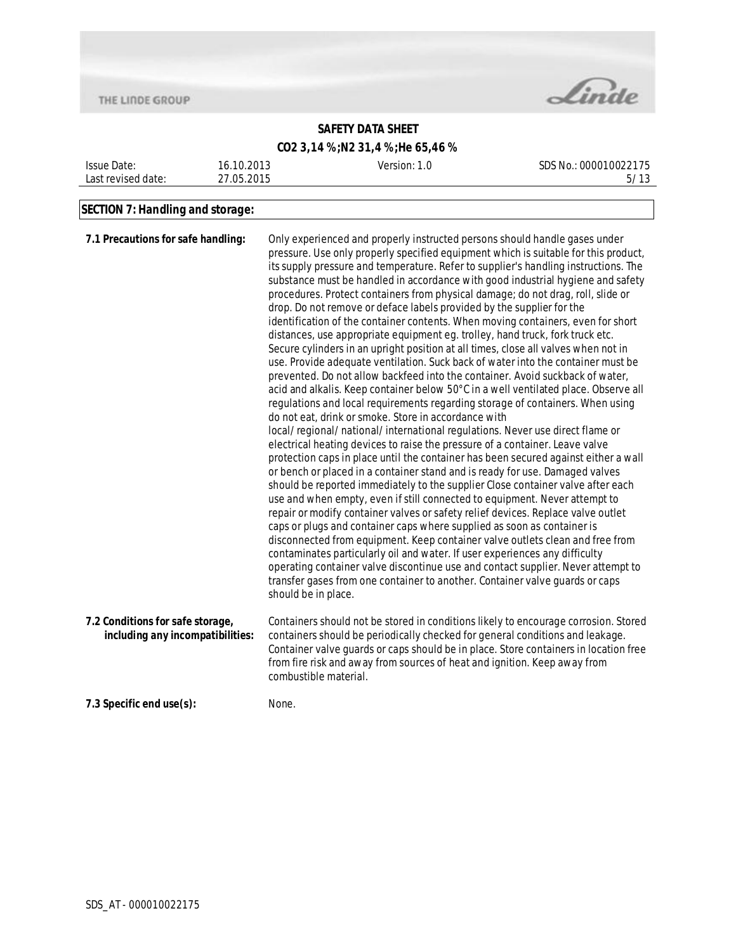

## **SAFETY DATA SHEET**

| CO2 3,14 %;N2 31,4 %;He 65,46 % |  |  |  |
|---------------------------------|--|--|--|
|---------------------------------|--|--|--|

| Date:<br>lssue.    | 2013<br>10 | Version: 1.6 | SDS No.:<br>000010022175           |
|--------------------|------------|--------------|------------------------------------|
| Last revised date: | 27.05.2015 |              | $\overline{A}$<br><u>J/</u><br>ں ا |
|                    |            |              |                                    |

# **SECTION 7: Handling and storage:**

| 7.1 Precautions for safe handling:                                   | Only experienced and properly instructed persons should handle gases under<br>pressure. Use only properly specified equipment which is suitable for this product,<br>its supply pressure and temperature. Refer to supplier's handling instructions. The<br>substance must be handled in accordance with good industrial hygiene and safety<br>procedures. Protect containers from physical damage; do not drag, roll, slide or<br>drop. Do not remove or deface labels provided by the supplier for the<br>identification of the container contents. When moving containers, even for short<br>distances, use appropriate equipment eg. trolley, hand truck, fork truck etc.<br>Secure cylinders in an upright position at all times, close all valves when not in<br>use. Provide adequate ventilation. Suck back of water into the container must be<br>prevented. Do not allow backfeed into the container. Avoid suckback of water,<br>acid and alkalis. Keep container below 50°C in a well ventilated place. Observe all<br>regulations and local requirements regarding storage of containers. When using<br>do not eat, drink or smoke. Store in accordance with<br>local/regional/national/international regulations. Never use direct flame or<br>electrical heating devices to raise the pressure of a container. Leave valve<br>protection caps in place until the container has been secured against either a wall<br>or bench or placed in a container stand and is ready for use. Damaged valves<br>should be reported immediately to the supplier Close container valve after each<br>use and when empty, even if still connected to equipment. Never attempt to<br>repair or modify container valves or safety relief devices. Replace valve outlet<br>caps or plugs and container caps where supplied as soon as container is<br>disconnected from equipment. Keep container valve outlets clean and free from<br>contaminates particularly oil and water. If user experiences any difficulty<br>operating container valve discontinue use and contact supplier. Never attempt to<br>transfer gases from one container to another. Container valve guards or caps<br>should be in place. |
|----------------------------------------------------------------------|-------------------------------------------------------------------------------------------------------------------------------------------------------------------------------------------------------------------------------------------------------------------------------------------------------------------------------------------------------------------------------------------------------------------------------------------------------------------------------------------------------------------------------------------------------------------------------------------------------------------------------------------------------------------------------------------------------------------------------------------------------------------------------------------------------------------------------------------------------------------------------------------------------------------------------------------------------------------------------------------------------------------------------------------------------------------------------------------------------------------------------------------------------------------------------------------------------------------------------------------------------------------------------------------------------------------------------------------------------------------------------------------------------------------------------------------------------------------------------------------------------------------------------------------------------------------------------------------------------------------------------------------------------------------------------------------------------------------------------------------------------------------------------------------------------------------------------------------------------------------------------------------------------------------------------------------------------------------------------------------------------------------------------------------------------------------------------------------------------------------------------------------------------------------------------------------------------------|
| 7.2 Conditions for safe storage,<br>including any incompatibilities: | Containers should not be stored in conditions likely to encourage corrosion. Stored<br>containers should be periodically checked for general conditions and leakage.<br>Container valve guards or caps should be in place. Store containers in location free<br>from fire risk and away from sources of heat and ignition. Keep away from<br>combustible material.                                                                                                                                                                                                                                                                                                                                                                                                                                                                                                                                                                                                                                                                                                                                                                                                                                                                                                                                                                                                                                                                                                                                                                                                                                                                                                                                                                                                                                                                                                                                                                                                                                                                                                                                                                                                                                          |
| 7.3 Specific end use(s):                                             | None.                                                                                                                                                                                                                                                                                                                                                                                                                                                                                                                                                                                                                                                                                                                                                                                                                                                                                                                                                                                                                                                                                                                                                                                                                                                                                                                                                                                                                                                                                                                                                                                                                                                                                                                                                                                                                                                                                                                                                                                                                                                                                                                                                                                                       |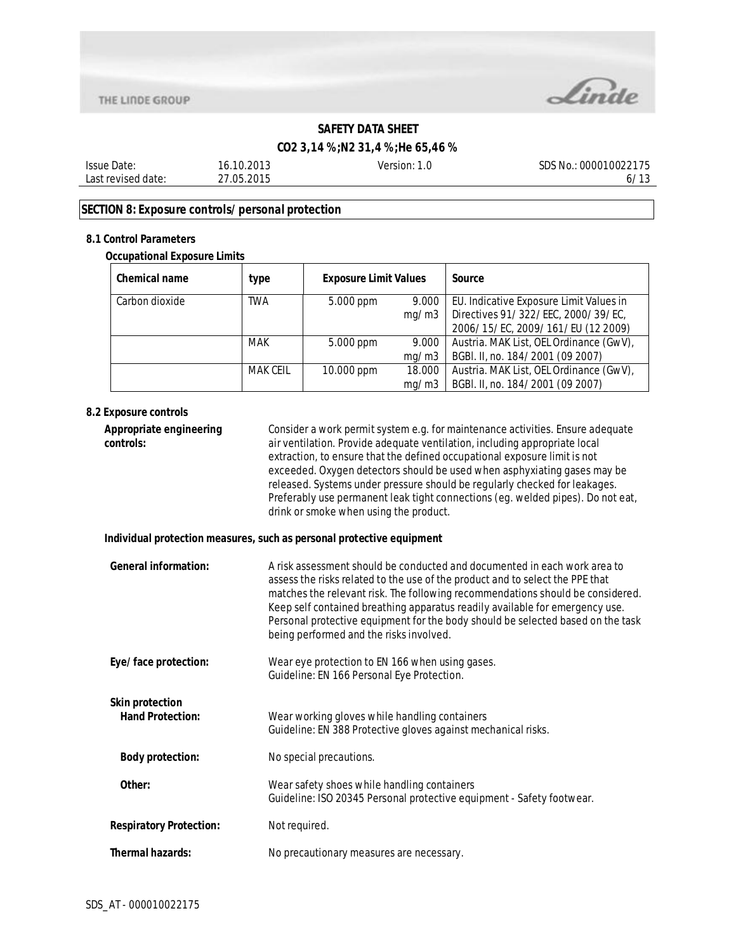

## **CO2 3,14 %;N2 31,4 %;He 65,46 %**

| Date:<br><i><b>Issue</b></i> | .2012<br>b<br>13       | ersion:<br>. | $- - -$<br>SDS<br>000010022<br>. Nc<br>75 |
|------------------------------|------------------------|--------------|-------------------------------------------|
| Last revised date:           | 2015<br>$\cap$<br>ט וי |              | $\overline{A}$<br>Ο,<br>. .               |
|                              |                        |              |                                           |

## **SECTION 8: Exposure controls/personal protection**

#### **8.1 Control Parameters**

## **Occupational Exposure Limits**

| Chemical name  | type            | <b>Exposure Limit Values</b> |        | Source                                  |
|----------------|-----------------|------------------------------|--------|-----------------------------------------|
| Carbon dioxide | TWA             | 5.000 ppm                    | 9.000  | EU. Indicative Exposure Limit Values in |
|                |                 |                              | mg/m3  | Directives 91/322/EEC, 2000/39/EC,      |
|                |                 |                              |        | 2006/15/EC, 2009/161/EU (12 2009)       |
|                | <b>MAK</b>      | 5.000 ppm                    | 9.000  | Austria. MAK List, OEL Ordinance (GwV), |
|                |                 |                              | mq/m3  | BGBI. II, no. 184/2001 (09 2007)        |
|                | <b>MAK CEIL</b> | 10.000 ppm                   | 18.000 | Austria. MAK List, OEL Ordinance (GwV), |
|                |                 |                              | mq/m3  | BGBI. II, no. 184/2001 (09 2007)        |

#### **8.2 Exposure controls**

| Appropriate engineering<br>controls:              | Consider a work permit system e.g. for maintenance activities. Ensure adequate<br>air ventilation. Provide adequate ventilation, including appropriate local<br>extraction, to ensure that the defined occupational exposure limit is not<br>exceeded. Oxygen detectors should be used when asphyxiating gases may be<br>released. Systems under pressure should be regularly checked for leakages.<br>Preferably use permanent leak tight connections (eg. welded pipes). Do not eat,<br>drink or smoke when using the product. |
|---------------------------------------------------|----------------------------------------------------------------------------------------------------------------------------------------------------------------------------------------------------------------------------------------------------------------------------------------------------------------------------------------------------------------------------------------------------------------------------------------------------------------------------------------------------------------------------------|
|                                                   | Individual protection measures, such as personal protective equipment                                                                                                                                                                                                                                                                                                                                                                                                                                                            |
| <b>General information:</b>                       | A risk assessment should be conducted and documented in each work area to<br>assess the risks related to the use of the product and to select the PPE that<br>matches the relevant risk. The following recommendations should be considered.<br>Keep self contained breathing apparatus readily available for emergency use.<br>Personal protective equipment for the body should be selected based on the task<br>being performed and the risks involved.                                                                       |
| Eye/face protection:                              | Wear eye protection to EN 166 when using gases.<br>Guideline: EN 166 Personal Eye Protection.                                                                                                                                                                                                                                                                                                                                                                                                                                    |
| <b>Skin protection</b><br><b>Hand Protection:</b> | Wear working gloves while handling containers<br>Guideline: EN 388 Protective gloves against mechanical risks.                                                                                                                                                                                                                                                                                                                                                                                                                   |
| <b>Body protection:</b>                           | No special precautions.                                                                                                                                                                                                                                                                                                                                                                                                                                                                                                          |
| Other:                                            | Wear safety shoes while handling containers<br>Guideline: ISO 20345 Personal protective equipment - Safety footwear.                                                                                                                                                                                                                                                                                                                                                                                                             |
| <b>Respiratory Protection:</b>                    | Not required.                                                                                                                                                                                                                                                                                                                                                                                                                                                                                                                    |
| <b>Thermal hazards:</b>                           | No precautionary measures are necessary.                                                                                                                                                                                                                                                                                                                                                                                                                                                                                         |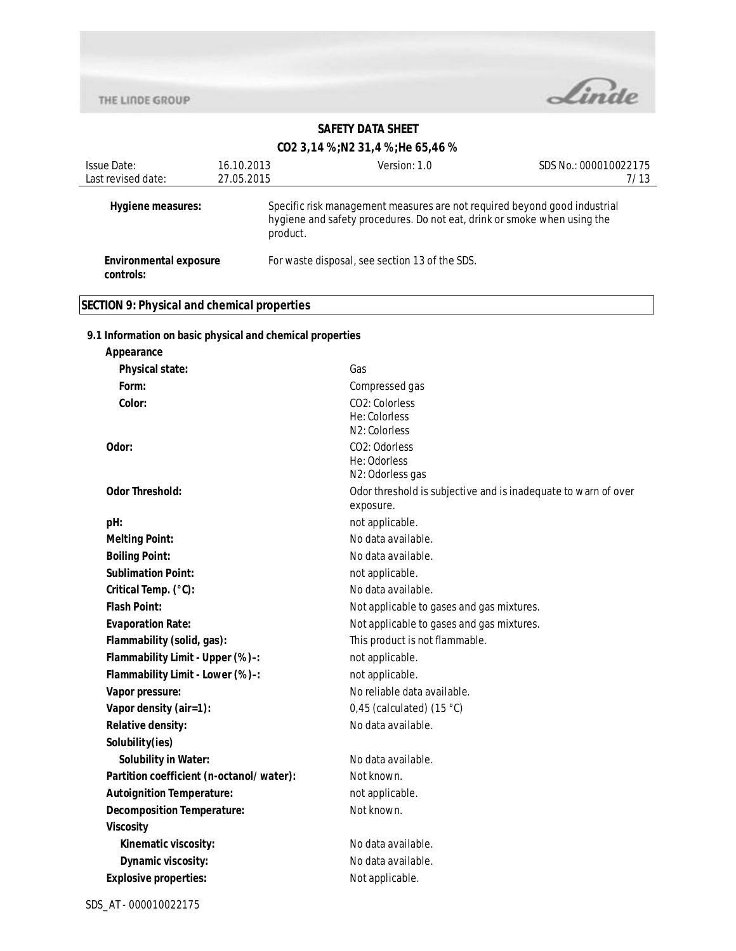**Appearance**



## **SAFETY DATA SHEET**

#### **CO2 3,14 %;N2 31,4 %;He 65,46 %**

| Issue Date:                         | 16.10.2013 | Version: 1.0                                                                                                                                                      | SDS No.: 000010022175 |
|-------------------------------------|------------|-------------------------------------------------------------------------------------------------------------------------------------------------------------------|-----------------------|
| Last revised date:                  | 27.05.2015 |                                                                                                                                                                   | 7/13                  |
| Hygiene measures:                   |            | Specific risk management measures are not required beyond good industrial<br>hygiene and safety procedures. Do not eat, drink or smoke when using the<br>product. |                       |
| Environmental exposure<br>controls: |            | For waste disposal, see section 13 of the SDS.                                                                                                                    |                       |

## **SECTION 9: Physical and chemical properties**

## **9.1 Information on basic physical and chemical properties**

| <b>Physical state:</b>                   | Gas                                                            |
|------------------------------------------|----------------------------------------------------------------|
| Form:                                    | Compressed gas                                                 |
| Color:                                   | CO2: Colorless                                                 |
|                                          | He: Colorless                                                  |
|                                          | N2: Colorless                                                  |
| Odor:                                    | CO2: Odorless<br>He: Odorless                                  |
|                                          | N2: Odorless gas                                               |
| <b>Odor Threshold:</b>                   | Odor threshold is subjective and is inadequate to warn of over |
|                                          | exposure.                                                      |
| pH:                                      | not applicable.                                                |
| <b>Melting Point:</b>                    | No data available.                                             |
| <b>Boiling Point:</b>                    | No data available.                                             |
| <b>Sublimation Point:</b>                | not applicable.                                                |
| Critical Temp. (°C):                     | No data available.                                             |
| <b>Flash Point:</b>                      | Not applicable to gases and gas mixtures.                      |
| <b>Evaporation Rate:</b>                 | Not applicable to gases and gas mixtures.                      |
| Flammability (solid, gas):               | This product is not flammable.                                 |
| Flammability Limit - Upper (%)-:         | not applicable.                                                |
| Flammability Limit - Lower (%)-:         | not applicable.                                                |
| Vapor pressure:                          | No reliable data available.                                    |
| Vapor density (air=1):                   | 0,45 (calculated) $(15 °C)$                                    |
| Relative density:                        | No data available.                                             |
| Solubility(ies)                          |                                                                |
| <b>Solubility in Water:</b>              | No data available.                                             |
| Partition coefficient (n-octanol/water): | Not known.                                                     |
| <b>Autoignition Temperature:</b>         | not applicable.                                                |
| <b>Decomposition Temperature:</b>        | Not known.                                                     |
| <b>Viscosity</b>                         |                                                                |
| Kinematic viscosity:                     | No data available.                                             |
| Dynamic viscosity:                       | No data available.                                             |
| <b>Explosive properties:</b>             | Not applicable.                                                |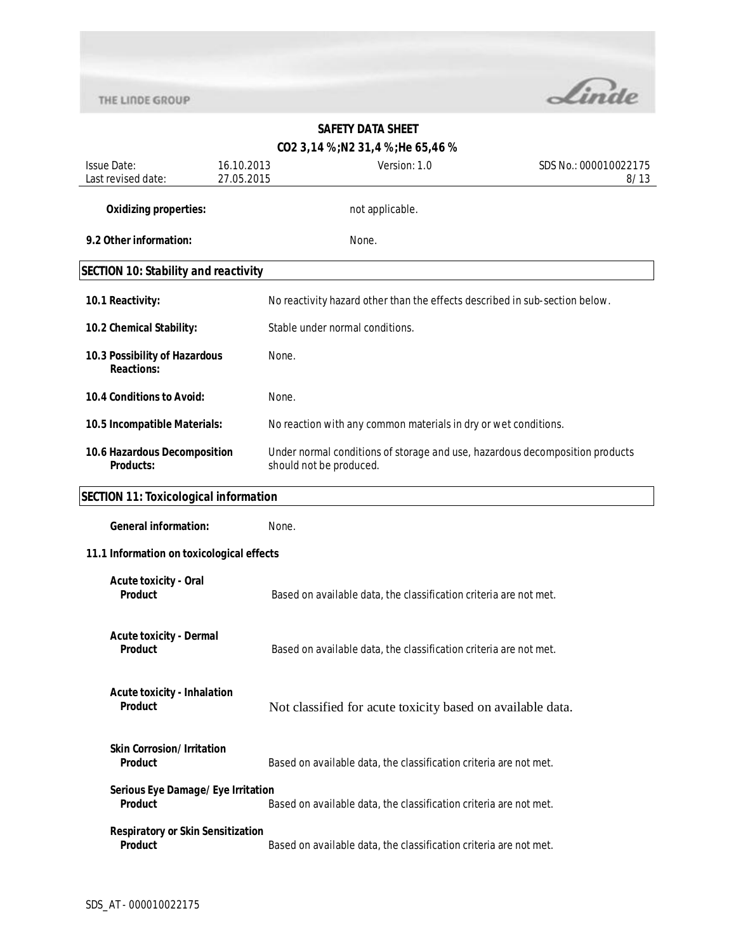

# **CO2 3,14 %;N2 31,4 %;He 65,46 %** Issue Date: Last revised date: 16.10.2013 27.05.2015 Version: 1.0 SDS No.: 000010022175 8/13 **Oxidizing properties:** not applicable. **9.2 Other information:** None. **SECTION 10: Stability and reactivity 10.1 Reactivity:** No reactivity hazard other than the effects described in sub-section below. **10.2 Chemical Stability:** Stable under normal conditions. **10.3 Possibility of Hazardous Reactions:** None. **10.4 Conditions to Avoid:** None. **10.5 Incompatible Materials:** No reaction with any common materials in dry or wet conditions. **10.6 Hazardous Decomposition Products:** Under normal conditions of storage and use, hazardous decomposition products should not be produced. **SECTION 11: Toxicological information General information:** None. **11.1 Information on toxicological effects Acute toxicity - Oral Product** Based on available data, the classification criteria are not met. **Acute toxicity - Dermal Product** Based on available data, the classification criteria are not met. **Acute toxicity - Inhalation Product** Not classified for acute toxicity based on available data. **Skin Corrosion/Irritation Product** Based on available data, the classification criteria are not met. **Serious Eye Damage/Eye Irritation Product** Based on available data, the classification criteria are not met.

# **SAFETY DATA SHEET**

**Respiratory or Skin Sensitization Product** Based on available data, the classification criteria are not met.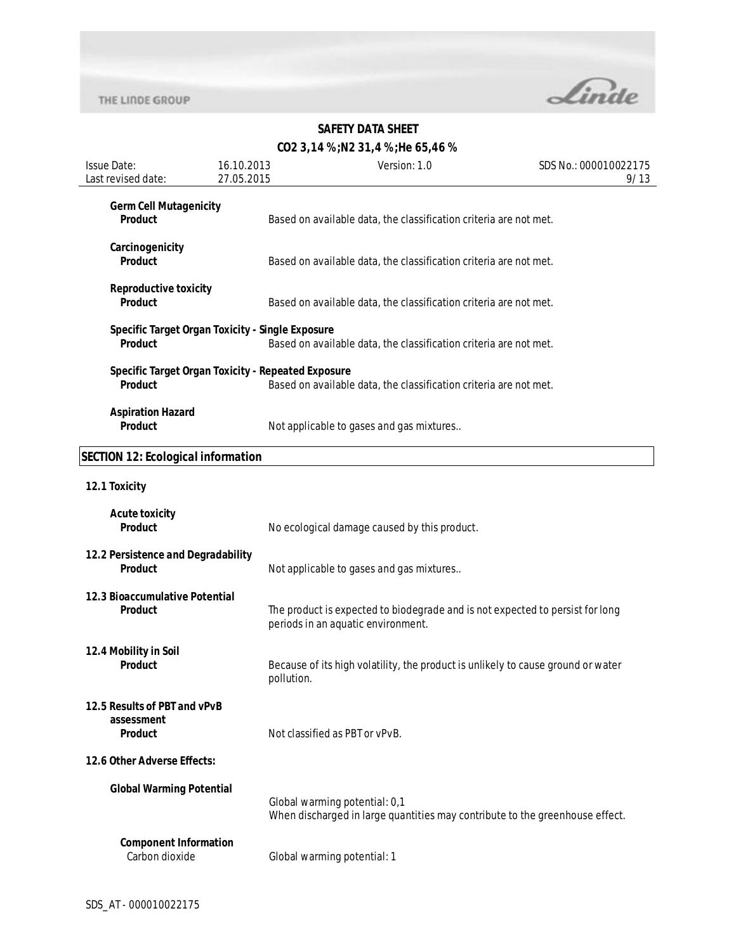

# **SAFETY DATA SHEET**

# **CO2 3,14 %;N2 31,4 %;He 65,46 %**

| <b>Issue Date:</b><br>Last revised date:              | 16.10.2013<br>27.05.2015                           | Version: 1.0                                                                                                        | SDS No.: 000010022175<br>9/13 |
|-------------------------------------------------------|----------------------------------------------------|---------------------------------------------------------------------------------------------------------------------|-------------------------------|
| <b>Germ Cell Mutagenicity</b><br><b>Product</b>       |                                                    | Based on available data, the classification criteria are not met.                                                   |                               |
| Carcinogenicity<br><b>Product</b>                     |                                                    | Based on available data, the classification criteria are not met.                                                   |                               |
| <b>Reproductive toxicity</b><br>Product               |                                                    | Based on available data, the classification criteria are not met.                                                   |                               |
| <b>Product</b>                                        | Specific Target Organ Toxicity - Single Exposure   | Based on available data, the classification criteria are not met.                                                   |                               |
| <b>Product</b>                                        | Specific Target Organ Toxicity - Repeated Exposure | Based on available data, the classification criteria are not met.                                                   |                               |
| <b>Aspiration Hazard</b><br>Product                   |                                                    | Not applicable to gases and gas mixtures                                                                            |                               |
| <b>SECTION 12: Ecological information</b>             |                                                    |                                                                                                                     |                               |
| 12.1 Toxicity                                         |                                                    |                                                                                                                     |                               |
| <b>Acute toxicity</b><br><b>Product</b>               |                                                    | No ecological damage caused by this product.                                                                        |                               |
| 12.2 Persistence and Degradability<br><b>Product</b>  |                                                    | Not applicable to gases and gas mixtures                                                                            |                               |
| 12.3 Bioaccumulative Potential<br><b>Product</b>      |                                                    | The product is expected to biodegrade and is not expected to persist for long<br>periods in an aquatic environment. |                               |
| 12.4 Mobility in Soil<br><b>Product</b>               | pollution.                                         | Because of its high volatility, the product is unlikely to cause ground or water                                    |                               |
| 12.5 Results of PBT and vPvB<br>assessment<br>Product |                                                    | Not classified as PBT or vPvB.                                                                                      |                               |
| 12.6 Other Adverse Effects:                           |                                                    |                                                                                                                     |                               |
| <b>Global Warming Potential</b>                       |                                                    | Global warming potential: 0,1<br>When discharged in large quantities may contribute to the greenhouse effect.       |                               |
| <b>Component Information</b><br>Carbon dioxide        |                                                    | Global warming potential: 1                                                                                         |                               |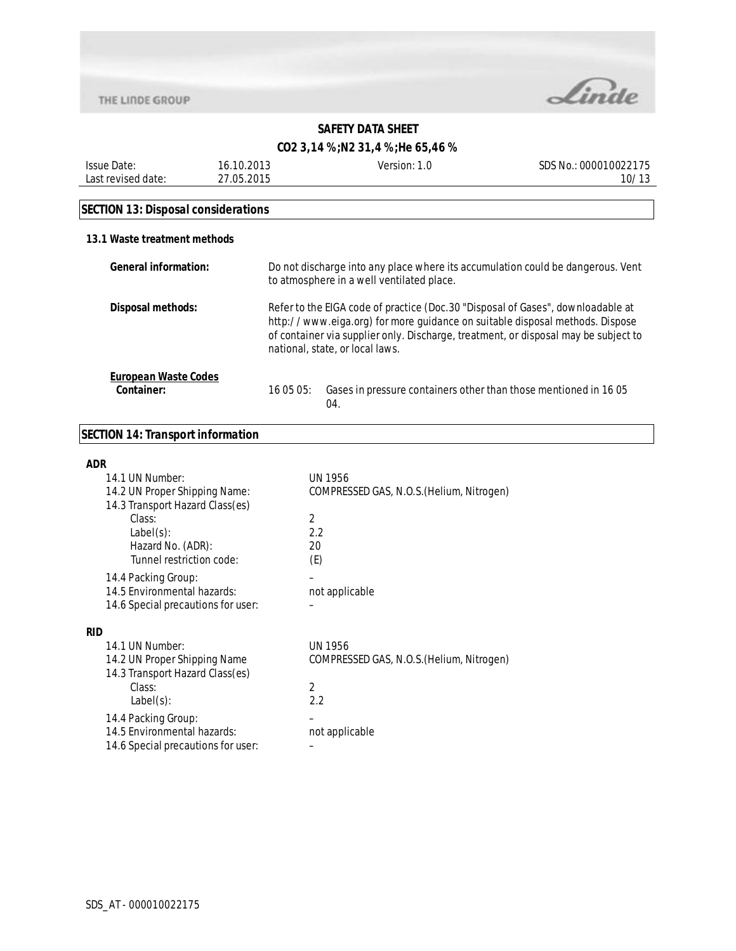

## **SAFETY DATA SHEET**

## **CO2 3,14 %;N2 31,4 %;He 65,46 %**

| <b>Issue Date:</b> | 16.10.2013 | Version:<br>1.0 | SDS No.: 000010022175 |
|--------------------|------------|-----------------|-----------------------|
| Last revised date: | 27.05.2015 |                 | 10/13                 |
|                    |            |                 |                       |

# **SECTION 13: Disposal considerations**

#### **13.1 Waste treatment methods**

| General information:                      | Do not discharge into any place where its accumulation could be dangerous. Vent<br>to atmosphere in a well ventilated place.                                                                                                                                                              |  |
|-------------------------------------------|-------------------------------------------------------------------------------------------------------------------------------------------------------------------------------------------------------------------------------------------------------------------------------------------|--|
| Disposal methods:                         | Refer to the EIGA code of practice (Doc.30 "Disposal of Gases", downloadable at<br>http://www.eiga.org) for more guidance on suitable disposal methods. Dispose<br>of container via supplier only. Discharge, treatment, or disposal may be subject to<br>national, state, or local laws. |  |
| <b>European Waste Codes</b><br>Container: | Gases in pressure containers other than those mentioned in 1605<br>16 05 05:<br>04.                                                                                                                                                                                                       |  |

## **SECTION 14: Transport information**

| <b>ADR</b>                                                       |                                           |
|------------------------------------------------------------------|-------------------------------------------|
| 14.1 UN Number:                                                  | UN 1956                                   |
| 14.2 UN Proper Shipping Name:<br>14.3 Transport Hazard Class(es) | COMPRESSED GAS, N.O.S. (Helium, Nitrogen) |
| Class:                                                           | 2                                         |
| Label(s):                                                        | 2.2                                       |
| Hazard No. (ADR):                                                | 20                                        |
| Tunnel restriction code:                                         | (E)                                       |
| 14.4 Packing Group:                                              |                                           |
| 14.5 Environmental hazards:                                      | not applicable                            |
| 14.6 Special precautions for user:                               |                                           |
| <b>RID</b>                                                       |                                           |
| 14.1 UN Number:                                                  | UN 1956                                   |
| 14.2 UN Proper Shipping Name                                     | COMPRESSED GAS, N.O.S. (Helium, Nitrogen) |
| 14.3 Transport Hazard Class(es)                                  |                                           |
| Class:                                                           | 2                                         |
| $Label(s)$ :                                                     | 2.2                                       |
| 14.4 Packing Group:                                              |                                           |
| 14.5 Environmental hazards:                                      | not applicable                            |
| 14.6 Special precautions for user:                               |                                           |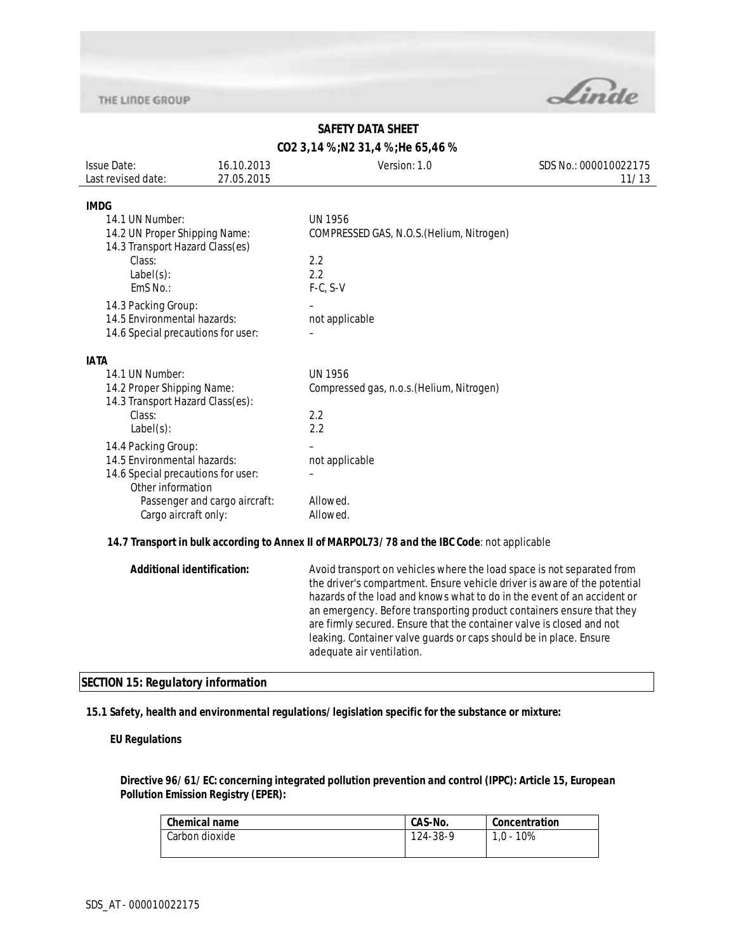

## **SAFETY DATA SHEET**

## **CO2 3,14 %;N2 31,4 %;He 65,46 %**

| <b>Issue Date:</b><br>Last revised date:                         | 16.10.2013<br>27.05.2015          | Version: 1.0                                                                                 | SDS No.: 000010022175<br>11/13 |
|------------------------------------------------------------------|-----------------------------------|----------------------------------------------------------------------------------------------|--------------------------------|
|                                                                  |                                   |                                                                                              |                                |
| <b>IMDG</b>                                                      |                                   |                                                                                              |                                |
| 14.1 UN Number:                                                  |                                   | <b>UN 1956</b>                                                                               |                                |
| 14.2 UN Proper Shipping Name:<br>14.3 Transport Hazard Class(es) |                                   | COMPRESSED GAS, N.O.S. (Helium, Nitrogen)                                                    |                                |
| Class:                                                           |                                   | 2.2                                                                                          |                                |
| $Label(s)$ :                                                     |                                   | 2.2                                                                                          |                                |
| EmS No.:                                                         |                                   | $F-C, S-V$                                                                                   |                                |
| 14.3 Packing Group:                                              |                                   |                                                                                              |                                |
| 14.5 Environmental hazards:                                      |                                   | not applicable                                                                               |                                |
| 14.6 Special precautions for user:                               |                                   |                                                                                              |                                |
|                                                                  |                                   |                                                                                              |                                |
| <b>IATA</b>                                                      |                                   |                                                                                              |                                |
| 14.1 UN Number:                                                  |                                   | <b>UN 1956</b>                                                                               |                                |
| 14.2 Proper Shipping Name:                                       |                                   | Compressed gas, n.o.s. (Helium, Nitrogen)                                                    |                                |
| 14.3 Transport Hazard Class(es):                                 |                                   |                                                                                              |                                |
| Class:                                                           |                                   | 2.2                                                                                          |                                |
| $Label(s)$ :                                                     |                                   | 2.2                                                                                          |                                |
| 14.4 Packing Group:                                              |                                   |                                                                                              |                                |
| 14.5 Environmental hazards:                                      |                                   | not applicable                                                                               |                                |
| 14.6 Special precautions for user:                               |                                   |                                                                                              |                                |
| Other information                                                |                                   |                                                                                              |                                |
|                                                                  | Passenger and cargo aircraft:     | Allowed.                                                                                     |                                |
| Cargo aircraft only:                                             |                                   | Allowed.                                                                                     |                                |
|                                                                  |                                   | 14.7 Transport in bulk according to Annex II of MARPOL73/78 and the IBC Code: not applicable |                                |
|                                                                  | <b>Additional identification:</b> | Avoid transport on vehicles where the load space is not separated from                       |                                |
|                                                                  |                                   | the driver's compartment. Ensure vehicle driver is aware of the potential                    |                                |
|                                                                  |                                   | hazards of the load and knows what to do in the event of an accident or                      |                                |
|                                                                  |                                   | an emergency. Before transporting product containers ensure that they                        |                                |
|                                                                  |                                   | are firmly secured. Ensure that the container valve is closed and not                        |                                |
|                                                                  |                                   | leaking. Container valve guards or caps should be in place. Ensure                           |                                |
|                                                                  |                                   | adequate air ventilation.                                                                    |                                |

#### **SECTION 15: Regulatory information**

#### **15.1 Safety, health and environmental regulations/legislation specific for the substance or mixture:**

#### **EU Regulations**

#### **Directive 96/61/EC: concerning integrated pollution prevention and control (IPPC): Article 15, European Pollution Emission Registry (EPER):**

| Concentration |
|---------------|
| 1.0 - 10%     |
|               |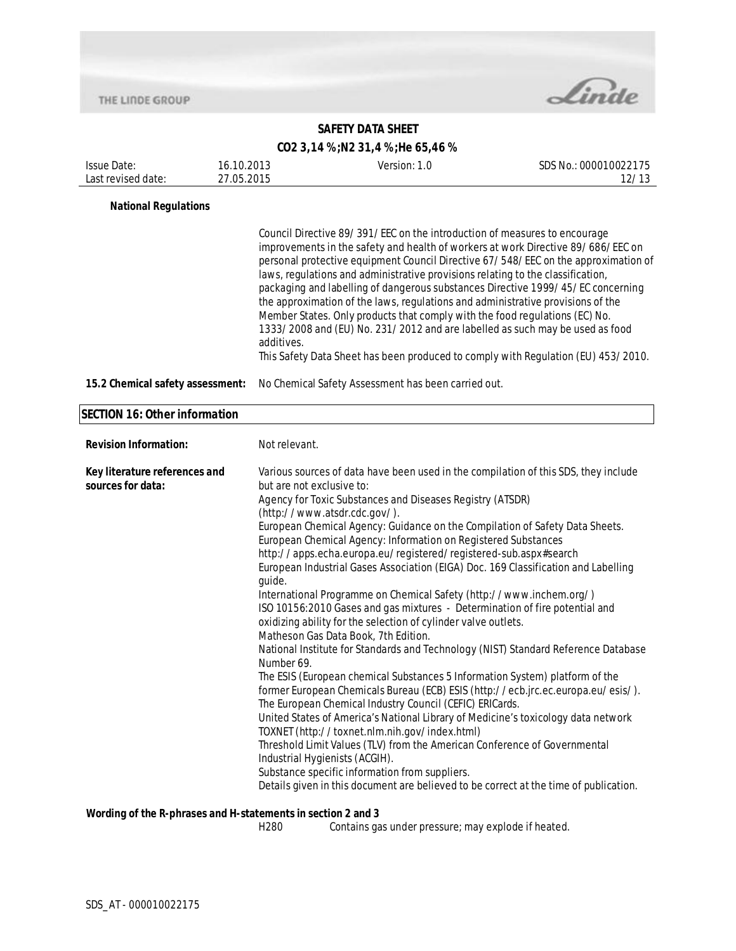

## **SAFETY DATA SHEET**

## **CO2 3,14 %;N2 31,4 %;He 65,46 %**

| Issue Date:<br>Last revised date:                  | 16.10.2013<br>27.05.2015 | Version: 1.0                                                                                                                                                                                                                                                                                                                                                                                                                                                                                                                                                                                                                                                                                                                                                                                                                                                                                                                                                                                                                                                                                                                                                                                                                                                                                                                                                                                                                                                                                                    | SDS No.: 000010022175<br>12/13                                                                                                                                          |
|----------------------------------------------------|--------------------------|-----------------------------------------------------------------------------------------------------------------------------------------------------------------------------------------------------------------------------------------------------------------------------------------------------------------------------------------------------------------------------------------------------------------------------------------------------------------------------------------------------------------------------------------------------------------------------------------------------------------------------------------------------------------------------------------------------------------------------------------------------------------------------------------------------------------------------------------------------------------------------------------------------------------------------------------------------------------------------------------------------------------------------------------------------------------------------------------------------------------------------------------------------------------------------------------------------------------------------------------------------------------------------------------------------------------------------------------------------------------------------------------------------------------------------------------------------------------------------------------------------------------|-------------------------------------------------------------------------------------------------------------------------------------------------------------------------|
| <b>National Regulations</b>                        |                          |                                                                                                                                                                                                                                                                                                                                                                                                                                                                                                                                                                                                                                                                                                                                                                                                                                                                                                                                                                                                                                                                                                                                                                                                                                                                                                                                                                                                                                                                                                                 |                                                                                                                                                                         |
|                                                    | additives.               | Council Directive 89/391/EEC on the introduction of measures to encourage<br>improvements in the safety and health of workers at work Directive 89/686/EEC on<br>laws, regulations and administrative provisions relating to the classification,<br>packaging and labelling of dangerous substances Directive 1999/45/EC concerning<br>the approximation of the laws, regulations and administrative provisions of the<br>Member States. Only products that comply with the food regulations (EC) No.<br>1333/2008 and (EU) No. 231/2012 and are labelled as such may be used as food                                                                                                                                                                                                                                                                                                                                                                                                                                                                                                                                                                                                                                                                                                                                                                                                                                                                                                                           | personal protective equipment Council Directive 67/548/EEC on the approximation of<br>This Safety Data Sheet has been produced to comply with Regulation (EU) 453/2010. |
| 15.2 Chemical safety assessment:                   |                          | No Chemical Safety Assessment has been carried out.                                                                                                                                                                                                                                                                                                                                                                                                                                                                                                                                                                                                                                                                                                                                                                                                                                                                                                                                                                                                                                                                                                                                                                                                                                                                                                                                                                                                                                                             |                                                                                                                                                                         |
| <b>SECTION 16: Other information</b>               |                          |                                                                                                                                                                                                                                                                                                                                                                                                                                                                                                                                                                                                                                                                                                                                                                                                                                                                                                                                                                                                                                                                                                                                                                                                                                                                                                                                                                                                                                                                                                                 |                                                                                                                                                                         |
| <b>Revision Information:</b>                       | Not relevant.            |                                                                                                                                                                                                                                                                                                                                                                                                                                                                                                                                                                                                                                                                                                                                                                                                                                                                                                                                                                                                                                                                                                                                                                                                                                                                                                                                                                                                                                                                                                                 |                                                                                                                                                                         |
| Key literature references and<br>sources for data: | guide.<br>Number 69.     | Various sources of data have been used in the compilation of this SDS, they include<br>but are not exclusive to:<br>Agency for Toxic Substances and Diseases Registry (ATSDR)<br>(http://www.atsdr.cdc.gov/).<br>European Chemical Agency: Guidance on the Compilation of Safety Data Sheets.<br>European Chemical Agency: Information on Registered Substances<br>http://apps.echa.europa.eu/registered/registered-sub.aspx#search<br>European Industrial Gases Association (EIGA) Doc. 169 Classification and Labelling<br>International Programme on Chemical Safety (http://www.inchem.org/)<br>ISO 10156:2010 Gases and gas mixtures - Determination of fire potential and<br>oxidizing ability for the selection of cylinder valve outlets.<br>Matheson Gas Data Book, 7th Edition.<br>National Institute for Standards and Technology (NIST) Standard Reference Database<br>The ESIS (European chemical Substances 5 Information System) platform of the<br>former European Chemicals Bureau (ECB) ESIS (http://ecb.jrc.ec.europa.eu/esis/).<br>The European Chemical Industry Council (CEFIC) ERICards.<br>United States of America's National Library of Medicine's toxicology data network<br>TOXNET (http://toxnet.nlm.nih.gov/index.html)<br>Threshold Limit Values (TLV) from the American Conference of Governmental<br>Industrial Hygienists (ACGIH).<br>Substance specific information from suppliers.<br>Details given in this document are believed to be correct at the time of publication. |                                                                                                                                                                         |

## **Wording of the R-phrases and H-statements in section 2 and 3**

H280 Contains gas under pressure; may explode if heated.